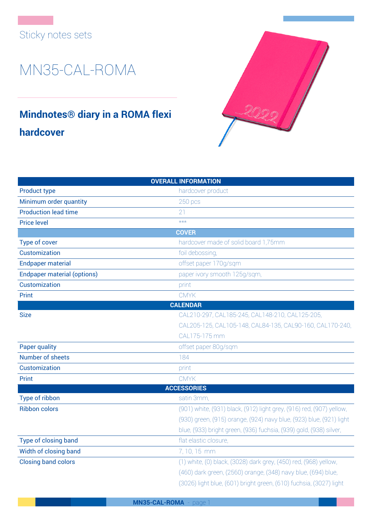## Sticky notes sets

## MN35-CAL-ROMA

## **Mindnotes® diary in a ROMA flexi hardcover**



| <b>OVERALL INFORMATION</b>         |                                                                      |
|------------------------------------|----------------------------------------------------------------------|
| <b>Product type</b>                | hardcover product                                                    |
| Minimum order quantity             | 250 pcs                                                              |
| <b>Production lead time</b>        | 21                                                                   |
| <b>Price level</b>                 | $***$                                                                |
|                                    | <b>COVER</b>                                                         |
| Type of cover                      | hardcover made of solid board 1,75mm                                 |
| Customization                      | foil debossing,                                                      |
| <b>Endpaper material</b>           | offset paper 170g/sqm                                                |
| <b>Endpaper material (options)</b> | paper ivory smooth 125g/sqm,                                         |
| Customization                      | print                                                                |
| Print                              | <b>CMYK</b>                                                          |
|                                    | <b>CALENDAR</b>                                                      |
| <b>Size</b>                        | CAL210-297, CAL185-245, CAL148-210, CAL125-205,                      |
|                                    | CAL205-125, CAL105-148, CAL84-135, CAL90-160, CAL170-240,            |
|                                    | CAL175-175 mm                                                        |
| <b>Paper quality</b>               | offset paper 80g/sqm                                                 |
| Number of sheets                   | 184                                                                  |
| Customization                      | print                                                                |
| Print                              | <b>CMYK</b>                                                          |
|                                    | <b>ACCESSORIES</b>                                                   |
| Type of ribbon                     | satin 3mm,                                                           |
| <b>Ribbon colors</b>               | (901) white, (931) black, (912) light grey, (916) red, (907) yellow, |
|                                    | (930) green, (915) orange, (924) navy blue, (923) blue, (921) light  |
|                                    | blue, (933) bright green, (936) fuchsia, (939) gold, (938) silver,   |
| Type of closing band               | flat elastic closure,                                                |
| Width of closing band              | 7, 10, 15 mm                                                         |
| <b>Closing band colors</b>         | (1) white, (0) black, (3028) dark grey, (450) red, (968) yellow,     |
|                                    | (460) dark green, (2560) orange, (348) navy blue, (694) blue,        |
|                                    | (3026) light blue, (601) bright green, (610) fuchsia, (3027) light   |